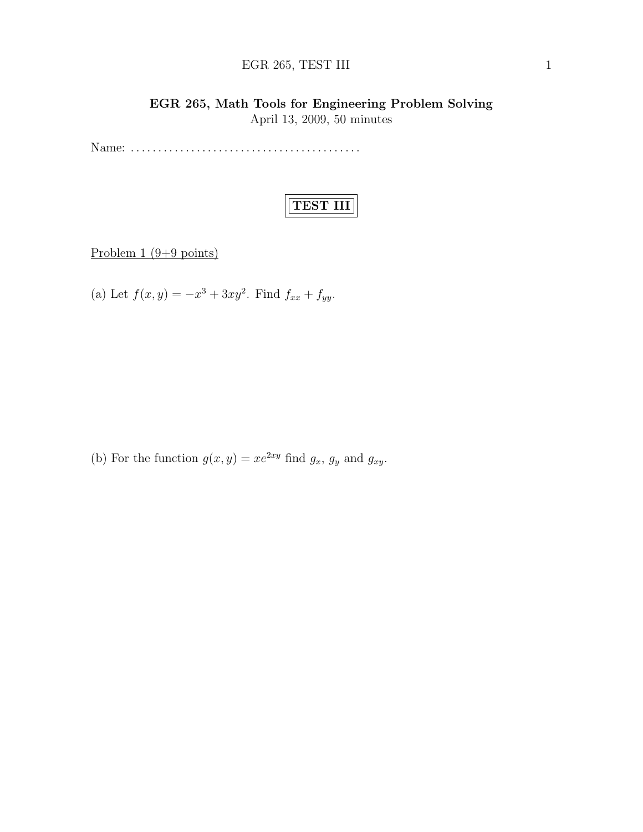# EGR 265, TEST III 1

# EGR 265, Math Tools for Engineering Problem Solving April 13, 2009, 50 minutes

Name: . . . . . . . . . . . . . . . . . . . . . . . . . . . . . . . . . . . . . . . . . .

# TEST III

Problem  $1 (9+9 \text{ points})$ 

(a) Let  $f(x, y) = -x^3 + 3xy^2$ . Find  $f_{xx} + f_{yy}$ .

(b) For the function  $g(x, y) = xe^{2xy}$  find  $g_x$ ,  $g_y$  and  $g_{xy}$ .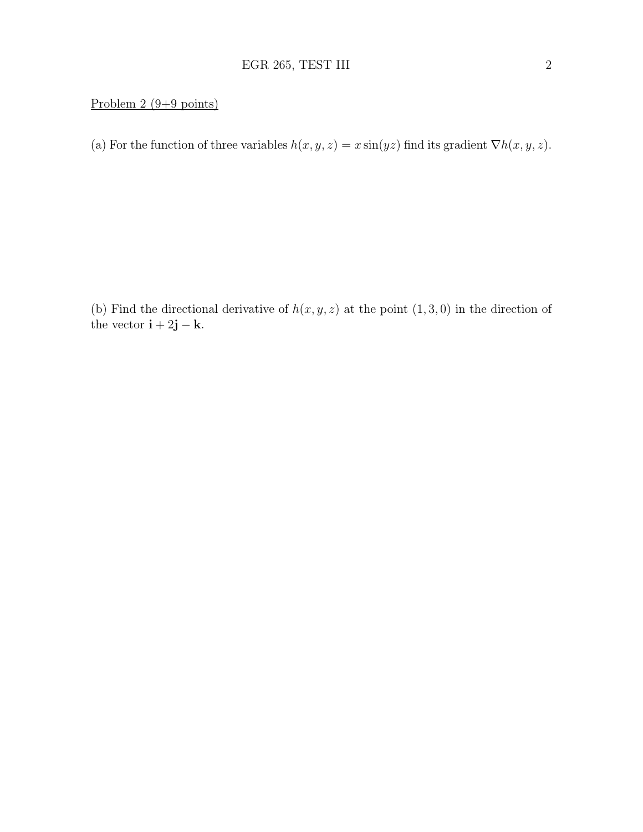## Problem 2 (9+9 points)

(a) For the function of three variables  $h(x, y, z) = x \sin(yz)$  find its gradient  $\nabla h(x, y, z)$ .

(b) Find the directional derivative of  $h(x, y, z)$  at the point  $(1, 3, 0)$  in the direction of the vector  $\mathbf{i} + 2\mathbf{j} - \mathbf{k}$ .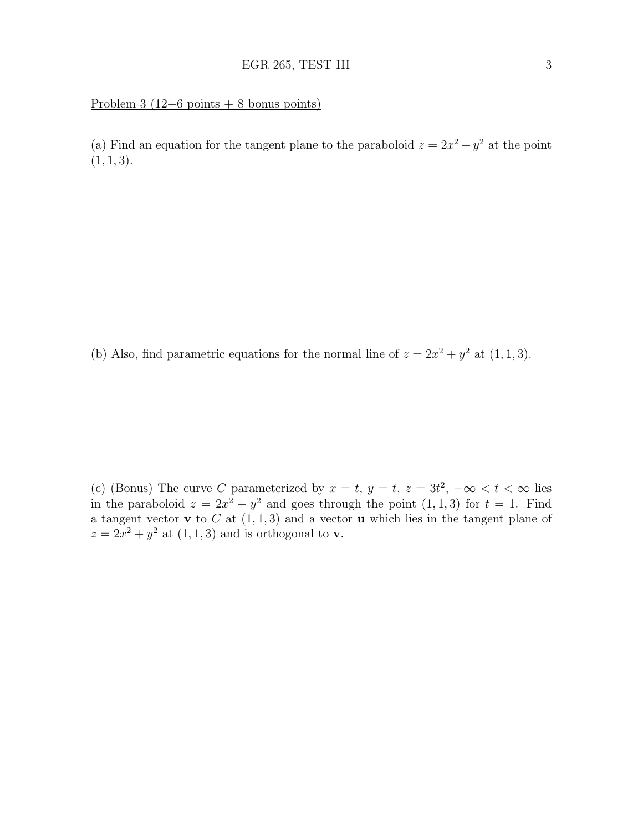### Problem  $3(12+6 \text{ points} + 8 \text{ bonus points})$

(a) Find an equation for the tangent plane to the paraboloid  $z = 2x^2 + y^2$  at the point  $(1, 1, 3).$ 

(b) Also, find parametric equations for the normal line of  $z = 2x^2 + y^2$  at  $(1, 1, 3)$ .

(c) (Bonus) The curve C parameterized by  $x = t$ ,  $y = t$ ,  $z = 3t^2$ ,  $-\infty < t < \infty$  lies in the paraboloid  $z = 2x^2 + y^2$  and goes through the point  $(1, 1, 3)$  for  $t = 1$ . Find a tangent vector **v** to  $C$  at  $(1, 1, 3)$  and a vector **u** which lies in the tangent plane of  $z = 2x^2 + y^2$  at  $(1, 1, 3)$  and is orthogonal to **v**.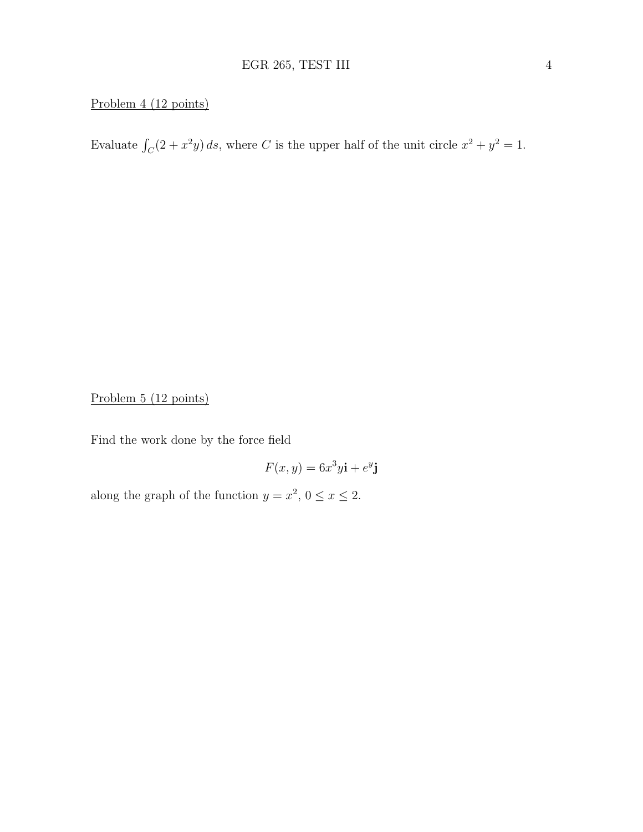# Problem 4 (12 points)

Evaluate  $\int_C (2 + x^2 y) ds$ , where C is the upper half of the unit circle  $x^2 + y^2 = 1$ .

Problem 5 (12 points)

Find the work done by the force field

$$
F(x, y) = 6x^3y\mathbf{i} + e^y\mathbf{j}
$$

along the graph of the function  $y = x^2$ ,  $0 \le x \le 2$ .